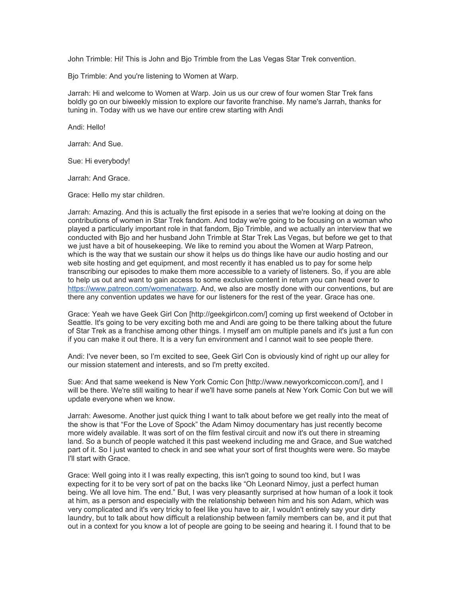John Trimble: Hi! This is John and Bjo Trimble from the Las Vegas Star Trek convention.

Bjo Trimble: And you're listening to Women at Warp.

Jarrah: Hi and welcome to Women at Warp. Join us us our crew of four women Star Trek fans boldly go on our biweekly mission to explore our favorite franchise. My name's Jarrah, thanks for tuning in. Today with us we have our entire crew starting with Andi

Andi: Hello!

Jarrah: And Sue.

Sue: Hi everybody!

Jarrah: And Grace.

Grace: Hello my star children.

Jarrah: Amazing. And this is actually the first episode in a series that we're looking at doing on the contributions of women in Star Trek fandom. And today we're going to be focusing on a woman who played a particularly important role in that fandom, Bjo Trimble, and we actually an interview that we conducted with Bjo and her husband John Trimble at Star Trek Las Vegas, but before we get to that we just have a bit of housekeeping. We like to remind you about the Women at Warp Patreon, which is the way that we sustain our show it helps us do things like have our audio hosting and our web site hosting and get equipment, and most recently it has enabled us to pay for some help transcribing our episodes to make them more accessible to a variety of listeners. So, if you are able to help us out and want to gain access to some exclusive content in return you can head over to [https://www.patreon.com/womenatwarp.](https://www.patreon.com/womenatwarp) And, we also are mostly done with our conventions, but are there any convention updates we have for our listeners for the rest of the year. Grace has one.

Grace: Yeah we have Geek Girl Con [http://geekgirlcon.com/] coming up first weekend of October in Seattle. It's going to be very exciting both me and Andi are going to be there talking about the future of Star Trek as a franchise among other things. I myself am on multiple panels and it's just a fun con if you can make it out there. It is a very fun environment and I cannot wait to see people there.

Andi: I've never been, so I'm excited to see, Geek Girl Con is obviously kind of right up our alley for our mission statement and interests, and so I'm pretty excited.

Sue: And that same weekend is New York Comic Con [http://www.newyorkcomiccon.com/], and I will be there. We're still waiting to hear if we'll have some panels at New York Comic Con but we will update everyone when we know.

Jarrah: Awesome. Another just quick thing I want to talk about before we get really into the meat of the show is that "For the Love of Spock" the Adam Nimoy documentary has just recently become more widely available. It was sort of on the film festival circuit and now it's out there in streaming land. So a bunch of people watched it this past weekend including me and Grace, and Sue watched part of it. So I just wanted to check in and see what your sort of first thoughts were were. So maybe I'll start with Grace.

Grace: Well going into it I was really expecting, this isn't going to sound too kind, but I was expecting for it to be very sort of pat on the backs like "Oh Leonard Nimoy, just a perfect human being. We all love him. The end." But, I was very pleasantly surprised at how human of a look it took at him, as a person and especially with the relationship between him and his son Adam, which was very complicated and it's very tricky to feel like you have to air, I wouldn't entirely say your dirty laundry, but to talk about how difficult a relationship between family members can be, and it put that out in a context for you know a lot of people are going to be seeing and hearing it. I found that to be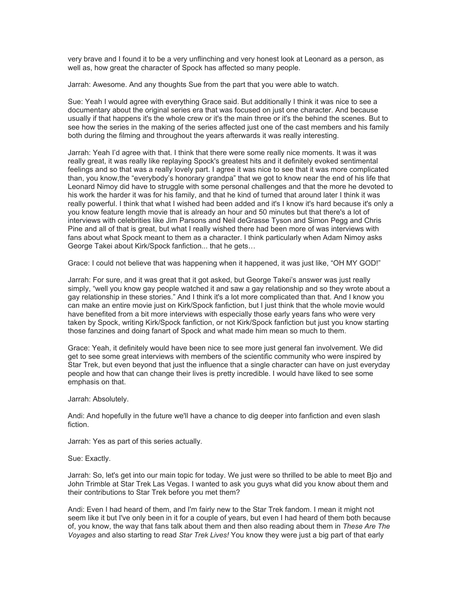very brave and I found it to be a very unflinching and very honest look at Leonard as a person, as well as, how great the character of Spock has affected so many people.

Jarrah: Awesome. And any thoughts Sue from the part that you were able to watch.

Sue: Yeah I would agree with everything Grace said. But additionally I think it was nice to see a documentary about the original series era that was focused on just one character. And because usually if that happens it's the whole crew or it's the main three or it's the behind the scenes. But to see how the series in the making of the series affected just one of the cast members and his family both during the filming and throughout the years afterwards it was really interesting.

Jarrah: Yeah I'd agree with that. I think that there were some really nice moments. It was it was really great, it was really like replaying Spock's greatest hits and it definitely evoked sentimental feelings and so that was a really lovely part. I agree it was nice to see that it was more complicated than, you know,the "everybody's honorary grandpa" that we got to know near the end of his life that Leonard Nimoy did have to struggle with some personal challenges and that the more he devoted to his work the harder it was for his family, and that he kind of turned that around later I think it was really powerful. I think that what I wished had been added and it's I know it's hard because it's only a you know feature length movie that is already an hour and 50 minutes but that there's a lot of interviews with celebrities like Jim Parsons and Neil deGrasse Tyson and Simon Pegg and Chris Pine and all of that is great, but what I really wished there had been more of was interviews with fans about what Spock meant to them as a character. I think particularly when Adam Nimoy asks George Takei about Kirk/Spock fanfiction... that he gets…

Grace: I could not believe that was happening when it happened, it was just like, "OH MY GOD!"

Jarrah: For sure, and it was great that it got asked, but George Takei's answer was just really simply, "well you know gay people watched it and saw a gay relationship and so they wrote about a gay relationship in these stories." And I think it's a lot more complicated than that. And I know you can make an entire movie just on Kirk/Spock fanfiction, but I just think that the whole movie would have benefited from a bit more interviews with especially those early years fans who were very taken by Spock, writing Kirk/Spock fanfiction, or not Kirk/Spock fanfiction but just you know starting those fanzines and doing fanart of Spock and what made him mean so much to them.

Grace: Yeah, it definitely would have been nice to see more just general fan involvement. We did get to see some great interviews with members of the scientific community who were inspired by Star Trek, but even beyond that just the influence that a single character can have on just everyday people and how that can change their lives is pretty incredible. I would have liked to see some emphasis on that.

Jarrah: Absolutely.

Andi: And hopefully in the future we'll have a chance to dig deeper into fanfiction and even slash fiction.

Jarrah: Yes as part of this series actually.

Sue: Exactly.

Jarrah: So, let's get into our main topic for today. We just were so thrilled to be able to meet Bjo and John Trimble at Star Trek Las Vegas. I wanted to ask you guys what did you know about them and their contributions to Star Trek before you met them?

Andi: Even I had heard of them, and I'm fairly new to the Star Trek fandom. I mean it might not seem like it but I've only been in it for a couple of years, but even I had heard of them both because of, you know, the way that fans talk about them and then also reading about them in *These Are The Voyages* and also starting to read *Star Trek Lives!* You know they were just a big part of that early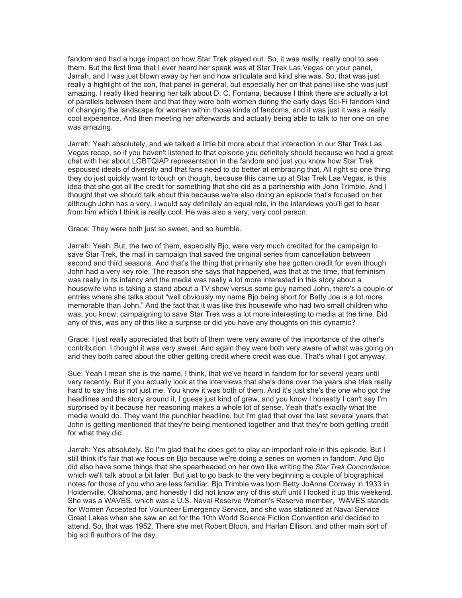fandom and had a huge impact on how Star Trek played out. So, it was really, really cool to see them. But the first time that I ever heard her speak was at Star Trek Las Vegas on your panel, Jarrah, and I was just blown away by her and how articulate and kind she was. So, that was just really a highlight of the con, that panel in general, but especially her on that panel like she was just amazing. I really liked hearing her talk about D. C. Fontana, because I think there are actually a lot of parallels between them and that they were both women during the early days Sci-Fi fandom kind of changing the landscape for women within those kinds of fandoms, and it was just it was a really cool experience. And then meeting her afterwards and actually being able to talk to her one on one was amazing.

Jarrah: Yeah absolutely, and we talked a little bit more about that interaction in our Star Trek Las Vegas recap, so if you haven't listened to that episode you definitely should because we had a great chat with her about LGBTQIAP representation in the fandom and just you know how Star Trek espoused ideals of diversity and that fans need to do better at embracing that. All right so one thing they do just quickly want to touch on though, because this came up at Star Trek Las Vegas, is this idea that she got all the credit for something that she did as a partnership with John Trimble. And I thought that we should talk about this because we're also doing an episode that's focused on her although John has a very, I would say definitely an equal role, in the interviews you'll get to hear from him which I think is really cool. He was also a very, very cool person.

Grace: They were both just so sweet, and so humble.

Jarrah: Yeah. But, the two of them, especially Bjo, were very much credited for the campaign to save Star Trek, the mail in campaign that saved the original series from cancellation between second and third seasons. And that's the thing that primarily she has gotten credit for even though John had a very key role. The reason she says that happened, was that at the time, that feminism was really in its infancy and the media was really a lot more interested in this story about a housewife who is taking a stand about a TV show versus some guy named John, there's a couple of entries where she talks about "well obviously my name Bjo being short for Betty Joe is a lot more memorable than John." And the fact that it was like this housewife who had two small children who was, you know, campaigning to save Star Trek was a lot more interesting to media at the time. Did any of this, was any of this like a surprise or did you have any thoughts on this dynamic?

Grace: I just really appreciated that both of them were very aware of the importance of the other's contribution. I thought it was very sweet. And again they were both very aware of what was going on and they both cared about the other getting credit where credit was due. That's what I got anyway.

Sue: Yeah I mean she is the name, I think, that we've heard in fandom for for several years until very recently. But if you actually look at the interviews that she's done over the years she tries really hard to say this is not just me. You know it was both of them. And it's just she's the one who got the headlines and the story around it, I guess just kind of grew, and you know I honestly I can't say I'm surprised by it because her reasoning makes a whole lot of sense. Yeah that's exactly what the media would do. They want the punchier headline, but I'm glad that over the last several years that John is getting mentioned that they're being mentioned together and that they're both getting credit for what they did.

Jarrah: Yes absolutely. So I'm glad that he does get to play an important role in this episode. But I still think it's fair that we focus on Bjo because we're doing a series on women in fandom. And Bjo did also have some things that she spearheaded on her own like writing the *Star Trek Concordance* which we'll talk about a bit later. But just to go back to the very beginning a couple of biographical notes for those of you who are less familiar. Bjo Trimble was born Betty JoAnne Conway in 1933 in Holdenville, Oklahoma, and honestly I did not know any of this stuff until I looked it up this weekend. She was a WAVES, which was a U.S. Naval Reserve Women's Reserve member, WAVES stands for Women Accepted for Volunteer Emergency Service, and she was stationed at Naval Service Great Lakes when she saw an ad for the 10th World Science Fiction Convention and decided to attend. So, that was 1952. There she met Robert Bloch, and Harlan Ellison, and other main sort of big sci fi authors of the day.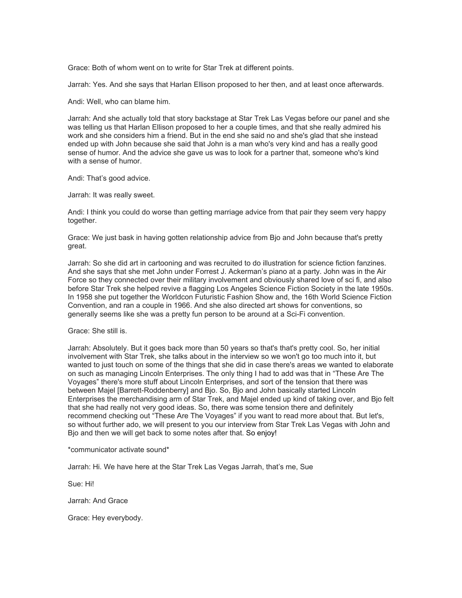Grace: Both of whom went on to write for Star Trek at different points.

Jarrah: Yes. And she says that Harlan Ellison proposed to her then, and at least once afterwards.

Andi: Well, who can blame him.

Jarrah: And she actually told that story backstage at Star Trek Las Vegas before our panel and she was telling us that Harlan Ellison proposed to her a couple times, and that she really admired his work and she considers him a friend. But in the end she said no and she's glad that she instead ended up with John because she said that John is a man who's very kind and has a really good sense of humor. And the advice she gave us was to look for a partner that, someone who's kind with a sense of humor.

Andi: That's good advice.

Jarrah: It was really sweet.

Andi: I think you could do worse than getting marriage advice from that pair they seem very happy together.

Grace: We just bask in having gotten relationship advice from Bjo and John because that's pretty great.

Jarrah: So she did art in cartooning and was recruited to do illustration for science fiction fanzines. And she says that she met John under Forrest J. Ackerman's piano at a party. John was in the Air Force so they connected over their military involvement and obviously shared love of sci fi, and also before Star Trek she helped revive a flagging Los Angeles Science Fiction Society in the late 1950s. In 1958 she put together the Worldcon Futuristic Fashion Show and, the 16th World Science Fiction Convention, and ran a couple in 1966. And she also directed art shows for conventions, so generally seems like she was a pretty fun person to be around at a Sci-Fi convention.

Grace: She still is.

Jarrah: Absolutely. But it goes back more than 50 years so that's that's pretty cool. So, her initial involvement with Star Trek, she talks about in the interview so we won't go too much into it, but wanted to just touch on some of the things that she did in case there's areas we wanted to elaborate on such as managing Lincoln Enterprises. The only thing I had to add was that in "These Are The Voyages" there's more stuff about Lincoln Enterprises, and sort of the tension that there was between Majel [Barrett-Roddenberry] and Bjo. So, Bjo and John basically started Lincoln Enterprises the merchandising arm of Star Trek, and Majel ended up kind of taking over, and Bjo felt that she had really not very good ideas. So, there was some tension there and definitely recommend checking out "These Are The Voyages" if you want to read more about that. But let's, so without further ado, we will present to you our interview from Star Trek Las Vegas with John and Bjo and then we will get back to some notes after that. So enjoy!

\*communicator activate sound\*

Jarrah: Hi. We have here at the Star Trek Las Vegas Jarrah, that's me, Sue

Sue: Hi!

Jarrah: And Grace

Grace: Hey everybody.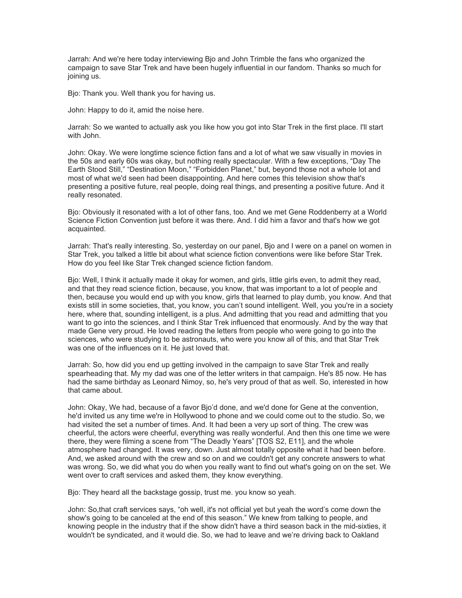Jarrah: And we're here today interviewing Bjo and John Trimble the fans who organized the campaign to save Star Trek and have been hugely influential in our fandom. Thanks so much for joining us.

Bjo: Thank you. Well thank you for having us.

John: Happy to do it, amid the noise here.

Jarrah: So we wanted to actually ask you like how you got into Star Trek in the first place. I'll start with John.

John: Okay. We were longtime science fiction fans and a lot of what we saw visually in movies in the 50s and early 60s was okay, but nothing really spectacular. With a few exceptions, "Day The Earth Stood Still," "Destination Moon," "Forbidden Planet," but, beyond those not a whole lot and most of what we'd seen had been disappointing. And here comes this television show that's presenting a positive future, real people, doing real things, and presenting a positive future. And it really resonated.

Bjo: Obviously it resonated with a lot of other fans, too. And we met Gene Roddenberry at a World Science Fiction Convention just before it was there. And. I did him a favor and that's how we got acquainted.

Jarrah: That's really interesting. So, yesterday on our panel, Bjo and I were on a panel on women in Star Trek, you talked a little bit about what science fiction conventions were like before Star Trek. How do you feel like Star Trek changed science fiction fandom.

Bjo: Well, I think it actually made it okay for women, and girls, little girls even, to admit they read, and that they read science fiction, because, you know, that was important to a lot of people and then, because you would end up with you know, girls that learned to play dumb, you know. And that exists still in some societies, that, you know, you can't sound intelligent. Well, you you're in a society here, where that, sounding intelligent, is a plus. And admitting that you read and admitting that you want to go into the sciences, and I think Star Trek influenced that enormously. And by the way that made Gene very proud. He loved reading the letters from people who were going to go into the sciences, who were studying to be astronauts, who were you know all of this, and that Star Trek was one of the influences on it. He just loved that.

Jarrah: So, how did you end up getting involved in the campaign to save Star Trek and really spearheading that. My my dad was one of the letter writers in that campaign. He's 85 now. He has had the same birthday as Leonard Nimoy, so, he's very proud of that as well. So, interested in how that came about.

John: Okay, We had, because of a favor Bjo'd done, and we'd done for Gene at the convention, he'd invited us any time we're in Hollywood to phone and we could come out to the studio. So, we had visited the set a number of times. And. It had been a very up sort of thing. The crew was cheerful, the actors were cheerful, everything was really wonderful. And then this one time we were there, they were filming a scene from "The Deadly Years" [TOS S2, E11], and the whole atmosphere had changed. It was very, down. Just almost totally opposite what it had been before. And, we asked around with the crew and so on and we couldn't get any concrete answers to what was wrong. So, we did what you do when you really want to find out what's going on on the set. We went over to craft services and asked them, they know everything.

Bjo: They heard all the backstage gossip, trust me. you know so yeah.

John: So,that craft services says, "oh well, it's not official yet but yeah the word's come down the show's going to be canceled at the end of this season." We knew from talking to people, and knowing people in the industry that if the show didn't have a third season back in the mid-sixties, it wouldn't be syndicated, and it would die. So, we had to leave and we're driving back to Oakland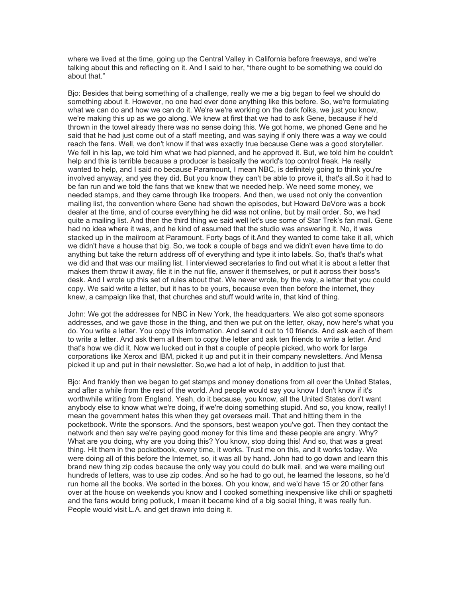where we lived at the time, going up the Central Valley in California before freeways, and we're talking about this and reflecting on it. And I said to her, "there ought to be something we could do about that."

Bjo: Besides that being something of a challenge, really we me a big began to feel we should do something about it. However, no one had ever done anything like this before. So, we're formulating what we can do and how we can do it. We're we're working on the dark folks, we just you know, we're making this up as we go along. We knew at first that we had to ask Gene, because if he'd thrown in the towel already there was no sense doing this. We got home, we phoned Gene and he said that he had just come out of a staff meeting, and was saying if only there was a way we could reach the fans. Well, we don't know if that was exactly true because Gene was a good storyteller. We fell in his lap, we told him what we had planned, and he approved it. But, we told him he couldn't help and this is terrible because a producer is basically the world's top control freak. He really wanted to help, and I said no because Paramount, I mean NBC, is definitely going to think you're involved anyway, and yes they did. But you know they can't be able to prove it, that's all.So it had to be fan run and we told the fans that we knew that we needed help. We need some money, we needed stamps, and they came through like troopers. And then, we used not only the convention mailing list, the convention where Gene had shown the episodes, but Howard DeVore was a book dealer at the time, and of course everything he did was not online, but by mail order. So, we had quite a mailing list. And then the third thing we said well let's use some of Star Trek's fan mail. Gene had no idea where it was, and he kind of assumed that the studio was answering it. No, it was stacked up in the mailroom at Paramount. Forty bags of it.And they wanted to come take it all, which we didn't have a house that big. So, we took a couple of bags and we didn't even have time to do anything but take the return address off of everything and type it into labels. So, that's that's what we did and that was our mailing list. I interviewed secretaries to find out what it is about a letter that makes them throw it away, file it in the nut file, answer it themselves, or put it across their boss's desk. And I wrote up this set of rules about that. We never wrote, by the way, a letter that you could copy. We said write a letter, but it has to be yours, because even then before the internet, they knew, a campaign like that, that churches and stuff would write in, that kind of thing.

John: We got the addresses for NBC in New York, the headquarters. We also got some sponsors addresses, and we gave those in the thing, and then we put on the letter, okay, now here's what you do. You write a letter. You copy this information. And send it out to 10 friends. And ask each of them to write a letter. And ask them all them to copy the letter and ask ten friends to write a letter. And that's how we did it. Now we lucked out in that a couple of people picked, who work for large corporations like Xerox and IBM, picked it up and put it in their company newsletters. And Mensa picked it up and put in their newsletter. So,we had a lot of help, in addition to just that.

Bjo: And frankly then we began to get stamps and money donations from all over the United States, and after a while from the rest of the world. And people would say you know I don't know if it's worthwhile writing from England. Yeah, do it because, you know, all the United States don't want anybody else to know what we're doing, if we're doing something stupid. And so, you know, really! I mean the government hates this when they get overseas mail. That and hitting them in the pocketbook. Write the sponsors. And the sponsors, best weapon you've got. Then they contact the network and then say we're paying good money for this time and these people are angry. Why? What are you doing, why are you doing this? You know, stop doing this! And so, that was a great thing. Hit them in the pocketbook, every time, it works. Trust me on this, and it works today. We were doing all of this before the Internet, so, it was all by hand. John had to go down and learn this brand new thing zip codes because the only way you could do bulk mail, and we were mailing out hundreds of letters, was to use zip codes. And so he had to go out, he learned the lessons, so he'd run home all the books. We sorted in the boxes. Oh you know, and we'd have 15 or 20 other fans over at the house on weekends you know and I cooked something inexpensive like chili or spaghetti and the fans would bring potluck, I mean it became kind of a big social thing, it was really fun. People would visit L.A. and get drawn into doing it.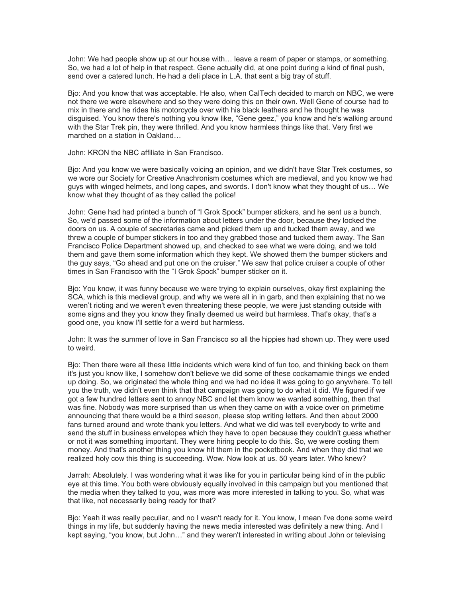John: We had people show up at our house with… leave a ream of paper or stamps, or something. So, we had a lot of help in that respect. Gene actually did, at one point during a kind of final push, send over a catered lunch. He had a deli place in L.A. that sent a big tray of stuff.

Bjo: And you know that was acceptable. He also, when CalTech decided to march on NBC, we were not there we were elsewhere and so they were doing this on their own. Well Gene of course had to mix in there and he rides his motorcycle over with his black leathers and he thought he was disguised. You know there's nothing you know like, "Gene geez," you know and he's walking around with the Star Trek pin, they were thrilled. And you know harmless things like that. Very first we marched on a station in Oakland…

John: KRON the NBC affiliate in San Francisco.

Bjo: And you know we were basically voicing an opinion, and we didn't have Star Trek costumes, so we wore our Society for Creative Anachronism costumes which are medieval, and you know we had guys with winged helmets, and long capes, and swords. I don't know what they thought of us… We know what they thought of as they called the police!

John: Gene had had printed a bunch of "I Grok Spock" bumper stickers, and he sent us a bunch. So, we'd passed some of the information about letters under the door, because they locked the doors on us. A couple of secretaries came and picked them up and tucked them away, and we threw a couple of bumper stickers in too and they grabbed those and tucked them away. The San Francisco Police Department showed up, and checked to see what we were doing, and we told them and gave them some information which they kept. We showed them the bumper stickers and the guy says, "Go ahead and put one on the cruiser." We saw that police cruiser a couple of other times in San Francisco with the "I Grok Spock" bumper sticker on it.

Bjo: You know, it was funny because we were trying to explain ourselves, okay first explaining the SCA, which is this medieval group, and why we were all in in garb, and then explaining that no we weren't rioting and we weren't even threatening these people, we were just standing outside with some signs and they you know they finally deemed us weird but harmless. That's okay, that's a good one, you know I'll settle for a weird but harmless.

John: It was the summer of love in San Francisco so all the hippies had shown up. They were used to weird.

Bjo: Then there were all these little incidents which were kind of fun too, and thinking back on them it's just you know like, I somehow don't believe we did some of these cockamamie things we ended up doing. So, we originated the whole thing and we had no idea it was going to go anywhere. To tell you the truth, we didn't even think that that campaign was going to do what it did. We figured if we got a few hundred letters sent to annoy NBC and let them know we wanted something, then that was fine. Nobody was more surprised than us when they came on with a voice over on primetime announcing that there would be a third season, please stop writing letters. And then about 2000 fans turned around and wrote thank you letters. And what we did was tell everybody to write and send the stuff in business envelopes which they have to open because they couldn't guess whether or not it was something important. They were hiring people to do this. So, we were costing them money. And that's another thing you know hit them in the pocketbook. And when they did that we realized holy cow this thing is succeeding. Wow. Now look at us. 50 years later. Who knew?

Jarrah: Absolutely. I was wondering what it was like for you in particular being kind of in the public eye at this time. You both were obviously equally involved in this campaign but you mentioned that the media when they talked to you, was more was more interested in talking to you. So, what was that like, not necessarily being ready for that?

Bjo: Yeah it was really peculiar, and no I wasn't ready for it. You know, I mean I've done some weird things in my life, but suddenly having the news media interested was definitely a new thing. And I kept saying, "you know, but John…" and they weren't interested in writing about John or televising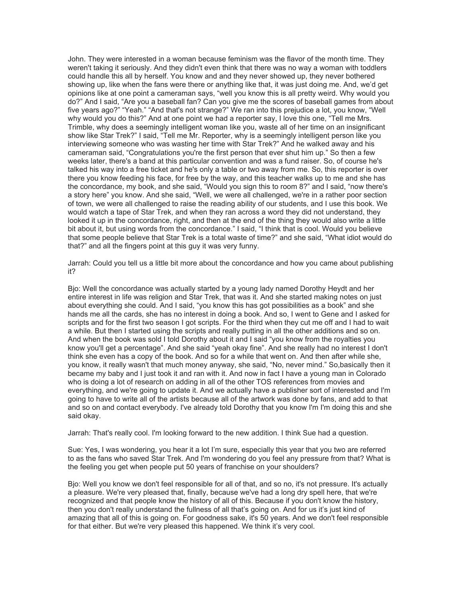John. They were interested in a woman because feminism was the flavor of the month time. They weren't taking it seriously. And they didn't even think that there was no way a woman with toddlers could handle this all by herself. You know and and they never showed up, they never bothered showing up, like when the fans were there or anything like that, it was just doing me. And, we'd get opinions like at one point a cameraman says, "well you know this is all pretty weird. Why would you do?" And I said, "Are you a baseball fan? Can you give me the scores of baseball games from about five years ago?" "Yeah." "And that's not strange?" We ran into this prejudice a lot, you know, "Well why would you do this?" And at one point we had a reporter say, I love this one, "Tell me Mrs. Trimble, why does a seemingly intelligent woman like you, waste all of her time on an insignificant show like Star Trek?" I said, "Tell me Mr. Reporter, why is a seemingly intelligent person like you interviewing someone who was wasting her time with Star Trek?" And he walked away and his cameraman said, "Congratulations you're the first person that ever shut him up." So then a few weeks later, there's a band at this particular convention and was a fund raiser. So, of course he's talked his way into a free ticket and he's only a table or two away from me. So, this reporter is over there you know feeding his face, for free by the way, and this teacher walks up to me and she has the concordance, my book, and she said, "Would you sign this to room 8?" and I said, "now there's a story here" you know. And she said, "Well, we were all challenged, we're in a rather poor section of town, we were all challenged to raise the reading ability of our students, and I use this book. We would watch a tape of Star Trek, and when they ran across a word they did not understand, they looked it up in the concordance, right, and then at the end of the thing they would also write a little bit about it, but using words from the concordance." I said, "I think that is cool. Would you believe that some people believe that Star Trek is a total waste of time?" and she said, "What idiot would do that?" and all the fingers point at this guy it was very funny.

Jarrah: Could you tell us a little bit more about the concordance and how you came about publishing it?

Bjo: Well the concordance was actually started by a young lady named Dorothy Heydt and her entire interest in life was religion and Star Trek, that was it. And she started making notes on just about everything she could. And I said, "you know this has got possibilities as a book" and she hands me all the cards, she has no interest in doing a book. And so, I went to Gene and I asked for scripts and for the first two season I got scripts. For the third when they cut me off and I had to wait a while. But then I started using the scripts and really putting in all the other additions and so on. And when the book was sold I told Dorothy about it and I said "you know from the royalties you know you'll get a percentage". And she said "yeah okay fine". And she really had no interest I don't think she even has a copy of the book. And so for a while that went on. And then after while she, you know, it really wasn't that much money anyway, she said, "No, never mind." So,basically then it became my baby and I just took it and ran with it. And now in fact I have a young man in Colorado who is doing a lot of research on adding in all of the other TOS references from movies and everything, and we're going to update it. And we actually have a publisher sort of interested and I'm going to have to write all of the artists because all of the artwork was done by fans, and add to that and so on and contact everybody. I've already told Dorothy that you know I'm I'm doing this and she said okay.

Jarrah: That's really cool. I'm looking forward to the new addition. I think Sue had a question.

Sue: Yes, I was wondering, you hear it a lot I'm sure, especially this year that you two are referred to as the fans who saved Star Trek. And I'm wondering do you feel any pressure from that? What is the feeling you get when people put 50 years of franchise on your shoulders?

Bjo: Well you know we don't feel responsible for all of that, and so no, it's not pressure. It's actually a pleasure. We're very pleased that, finally, because we've had a long dry spell here, that we're recognized and that people know the history of all of this. Because if you don't know the history, then you don't really understand the fullness of all that's going on. And for us it's just kind of amazing that all of this is going on. For goodness sake, it's 50 years. And we don't feel responsible for that either. But we're very pleased this happened. We think it's very cool.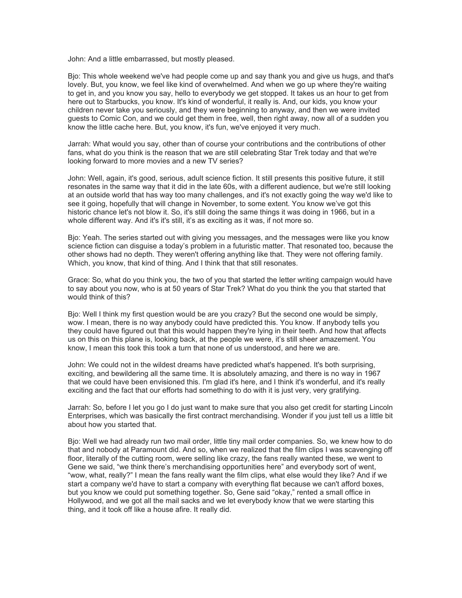John: And a little embarrassed, but mostly pleased.

Bjo: This whole weekend we've had people come up and say thank you and give us hugs, and that's lovely. But, you know, we feel like kind of overwhelmed. And when we go up where they're waiting to get in, and you know you say, hello to everybody we get stopped. It takes us an hour to get from here out to Starbucks, you know. It's kind of wonderful, it really is. And, our kids, you know your children never take you seriously, and they were beginning to anyway, and then we were invited guests to Comic Con, and we could get them in free, well, then right away, now all of a sudden you know the little cache here. But, you know, it's fun, we've enjoyed it very much.

Jarrah: What would you say, other than of course your contributions and the contributions of other fans, what do you think is the reason that we are still celebrating Star Trek today and that we're looking forward to more movies and a new TV series?

John: Well, again, it's good, serious, adult science fiction. It still presents this positive future, it still resonates in the same way that it did in the late 60s, with a different audience, but we're still looking at an outside world that has way too many challenges, and it's not exactly going the way we'd like to see it going, hopefully that will change in November, to some extent. You know we've got this historic chance let's not blow it. So, it's still doing the same things it was doing in 1966, but in a whole different way. And it's it's still, it's as exciting as it was, if not more so.

Bjo: Yeah. The series started out with giving you messages, and the messages were like you know science fiction can disguise a today's problem in a futuristic matter. That resonated too, because the other shows had no depth. They weren't offering anything like that. They were not offering family. Which, you know, that kind of thing. And I think that that still resonates.

Grace: So, what do you think you, the two of you that started the letter writing campaign would have to say about you now, who is at 50 years of Star Trek? What do you think the you that started that would think of this?

Bjo: Well I think my first question would be are you crazy? But the second one would be simply, wow. I mean, there is no way anybody could have predicted this. You know. If anybody tells you they could have figured out that this would happen they're lying in their teeth. And how that affects us on this on this plane is, looking back, at the people we were, it's still sheer amazement. You know, I mean this took this took a turn that none of us understood, and here we are.

John: We could not in the wildest dreams have predicted what's happened. It's both surprising, exciting, and bewildering all the same time. It is absolutely amazing, and there is no way in 1967 that we could have been envisioned this. I'm glad it's here, and I think it's wonderful, and it's really exciting and the fact that our efforts had something to do with it is just very, very gratifying.

Jarrah: So, before I let you go I do just want to make sure that you also get credit for starting Lincoln Enterprises, which was basically the first contract merchandising. Wonder if you just tell us a little bit about how you started that.

Bjo: Well we had already run two mail order, little tiny mail order companies. So, we knew how to do that and nobody at Paramount did. And so, when we realized that the film clips I was scavenging off floor, literally of the cutting room, were selling like crazy, the fans really wanted these, we went to Gene we said, "we think there's merchandising opportunities here" and everybody sort of went, "wow, what, really?" I mean the fans really want the film clips, what else would they like? And if we start a company we'd have to start a company with everything flat because we can't afford boxes, but you know we could put something together. So, Gene said "okay," rented a small office in Hollywood, and we got all the mail sacks and we let everybody know that we were starting this thing, and it took off like a house afire. It really did.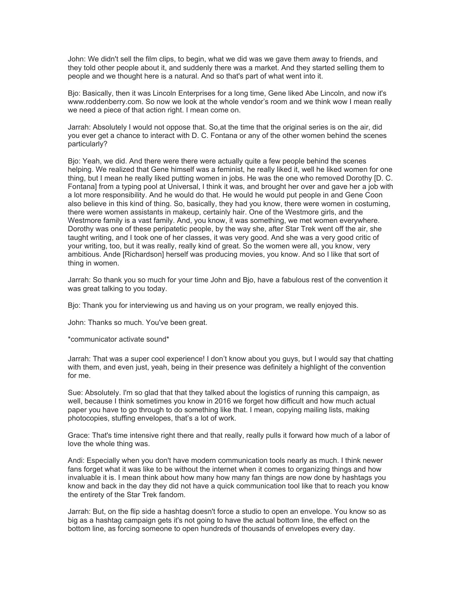John: We didn't sell the film clips, to begin, what we did was we gave them away to friends, and they told other people about it, and suddenly there was a market. And they started selling them to people and we thought here is a natural. And so that's part of what went into it.

Bjo: Basically, then it was Lincoln Enterprises for a long time, Gene liked Abe Lincoln, and now it's www.roddenberry.com. So now we look at the whole vendor's room and we think wow I mean really we need a piece of that action right. I mean come on.

Jarrah: Absolutely I would not oppose that. So,at the time that the original series is on the air, did you ever get a chance to interact with D. C. Fontana or any of the other women behind the scenes particularly?

Bjo: Yeah, we did. And there were there were actually quite a few people behind the scenes helping. We realized that Gene himself was a feminist, he really liked it, well he liked women for one thing, but I mean he really liked putting women in jobs. He was the one who removed Dorothy [D. C. Fontana] from a typing pool at Universal, I think it was, and brought her over and gave her a job with a lot more responsibility. And he would do that. He would he would put people in and Gene Coon also believe in this kind of thing. So, basically, they had you know, there were women in costuming, there were women assistants in makeup, certainly hair. One of the Westmore girls, and the Westmore family is a vast family. And, you know, it was something, we met women everywhere. Dorothy was one of these peripatetic people, by the way she, after Star Trek went off the air, she taught writing, and I took one of her classes, it was very good. And she was a very good critic of your writing, too, but it was really, really kind of great. So the women were all, you know, very ambitious. Ande [Richardson] herself was producing movies, you know. And so I like that sort of thing in women.

Jarrah: So thank you so much for your time John and Bjo, have a fabulous rest of the convention it was great talking to you today.

Bjo: Thank you for interviewing us and having us on your program, we really enjoyed this.

John: Thanks so much. You've been great.

\*communicator activate sound\*

Jarrah: That was a super cool experience! I don't know about you guys, but I would say that chatting with them, and even just, yeah, being in their presence was definitely a highlight of the convention for me.

Sue: Absolutely. I'm so glad that that they talked about the logistics of running this campaign, as well, because I think sometimes you know in 2016 we forget how difficult and how much actual paper you have to go through to do something like that. I mean, copying mailing lists, making photocopies, stuffing envelopes, that's a lot of work.

Grace: That's time intensive right there and that really, really pulls it forward how much of a labor of love the whole thing was.

Andi: Especially when you don't have modern communication tools nearly as much. I think newer fans forget what it was like to be without the internet when it comes to organizing things and how invaluable it is. I mean think about how many how many fan things are now done by hashtags you know and back in the day they did not have a quick communication tool like that to reach you know the entirety of the Star Trek fandom.

Jarrah: But, on the flip side a hashtag doesn't force a studio to open an envelope. You know so as big as a hashtag campaign gets it's not going to have the actual bottom line, the effect on the bottom line, as forcing someone to open hundreds of thousands of envelopes every day.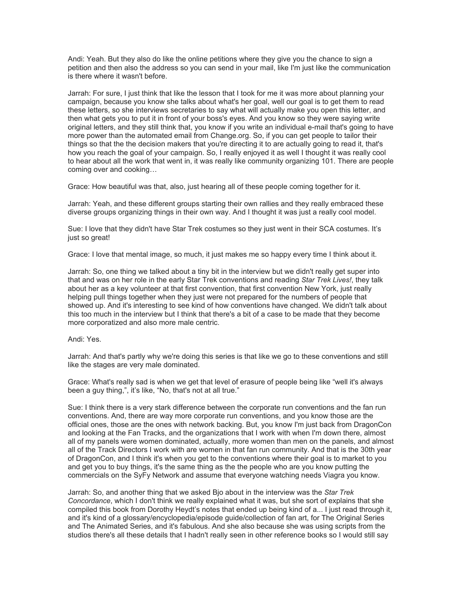Andi: Yeah. But they also do like the online petitions where they give you the chance to sign a petition and then also the address so you can send in your mail, like I'm just like the communication is there where it wasn't before.

Jarrah: For sure, I just think that like the lesson that I took for me it was more about planning your campaign, because you know she talks about what's her goal, well our goal is to get them to read these letters, so she interviews secretaries to say what will actually make you open this letter, and then what gets you to put it in front of your boss's eyes. And you know so they were saying write original letters, and they still think that, you know if you write an individual e-mail that's going to have more power than the automated email from Change.org. So, if you can get people to tailor their things so that the the decision makers that you're directing it to are actually going to read it, that's how you reach the goal of your campaign. So, I really enjoyed it as well I thought it was really cool to hear about all the work that went in, it was really like community organizing 101. There are people coming over and cooking…

Grace: How beautiful was that, also, just hearing all of these people coming together for it.

Jarrah: Yeah, and these different groups starting their own rallies and they really embraced these diverse groups organizing things in their own way. And I thought it was just a really cool model.

Sue: I love that they didn't have Star Trek costumes so they just went in their SCA costumes. It's just so great!

Grace: I love that mental image, so much, it just makes me so happy every time I think about it.

Jarrah: So, one thing we talked about a tiny bit in the interview but we didn't really get super into that and was on her role in the early Star Trek conventions and reading *Star Trek Lives!*, they talk about her as a key volunteer at that first convention, that first convention New York, just really helping pull things together when they just were not prepared for the numbers of people that showed up. And it's interesting to see kind of how conventions have changed. We didn't talk about this too much in the interview but I think that there's a bit of a case to be made that they become more corporatized and also more male centric.

## Andi: Yes.

Jarrah: And that's partly why we're doing this series is that like we go to these conventions and still like the stages are very male dominated.

Grace: What's really sad is when we get that level of erasure of people being like "well it's always been a guy thing,", it's like, "No, that's not at all true."

Sue: I think there is a very stark difference between the corporate run conventions and the fan run conventions. And, there are way more corporate run conventions, and you know those are the official ones, those are the ones with network backing. But, you know I'm just back from DragonCon and looking at the Fan Tracks, and the organizations that I work with when I'm down there, almost all of my panels were women dominated, actually, more women than men on the panels, and almost all of the Track Directors I work with are women in that fan run community. And that is the 30th year of DragonCon, and I think it's when you get to the conventions where their goal is to market to you and get you to buy things, it's the same thing as the the people who are you know putting the commercials on the SyFy Network and assume that everyone watching needs Viagra you know.

Jarrah: So, and another thing that we asked Bjo about in the interview was the *Star Trek Concordance*, which I don't think we really explained what it was, but she sort of explains that she compiled this book from Dorothy Heydt's notes that ended up being kind of a... I just read through it, and it's kind of a glossary/encyclopedia/episode guide/collection of fan art, for The Original Series and The Animated Series, and it's fabulous. And she also because she was using scripts from the studios there's all these details that I hadn't really seen in other reference books so I would still say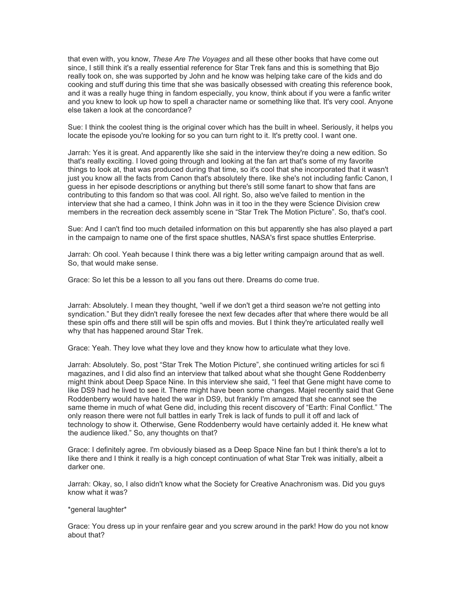that even with, you know, *These Are The Voyages* and all these other books that have come out since, I still think it's a really essential reference for Star Trek fans and this is something that Bjo really took on, she was supported by John and he know was helping take care of the kids and do cooking and stuff during this time that she was basically obsessed with creating this reference book, and it was a really huge thing in fandom especially, you know, think about if you were a fanfic writer and you knew to look up how to spell a character name or something like that. It's very cool. Anyone else taken a look at the concordance?

Sue: I think the coolest thing is the original cover which has the built in wheel. Seriously, it helps you locate the episode you're looking for so you can turn right to it. It's pretty cool. I want one.

Jarrah: Yes it is great. And apparently like she said in the interview they're doing a new edition. So that's really exciting. I loved going through and looking at the fan art that's some of my favorite things to look at, that was produced during that time, so it's cool that she incorporated that it wasn't just you know all the facts from Canon that's absolutely there. like she's not including fanfic Canon, I guess in her episode descriptions or anything but there's still some fanart to show that fans are contributing to this fandom so that was cool. All right. So, also we've failed to mention in the interview that she had a cameo, I think John was in it too in the they were Science Division crew members in the recreation deck assembly scene in "Star Trek The Motion Picture". So, that's cool.

Sue: And I can't find too much detailed information on this but apparently she has also played a part in the campaign to name one of the first space shuttles, NASA's first space shuttles Enterprise.

Jarrah: Oh cool. Yeah because I think there was a big letter writing campaign around that as well. So, that would make sense.

Grace: So let this be a lesson to all you fans out there. Dreams do come true.

Jarrah: Absolutely. I mean they thought, "well if we don't get a third season we're not getting into syndication." But they didn't really foresee the next few decades after that where there would be all these spin offs and there still will be spin offs and movies. But I think they're articulated really well why that has happened around Star Trek.

Grace: Yeah. They love what they love and they know how to articulate what they love.

Jarrah: Absolutely. So, post "Star Trek The Motion Picture", she continued writing articles for sci fi magazines, and I did also find an interview that talked about what she thought Gene Roddenberry might think about Deep Space Nine. In this interview she said, "I feel that Gene might have come to like DS9 had he lived to see it. There might have been some changes. Majel recently said that Gene Roddenberry would have hated the war in DS9, but frankly I'm amazed that she cannot see the same theme in much of what Gene did, including this recent discovery of "Earth: Final Conflict." The only reason there were not full battles in early Trek is lack of funds to pull it off and lack of technology to show it. Otherwise, Gene Roddenberry would have certainly added it. He knew what the audience liked." So, any thoughts on that?

Grace: I definitely agree. I'm obviously biased as a Deep Space Nine fan but I think there's a lot to like there and I think it really is a high concept continuation of what Star Trek was initially, albeit a darker one.

Jarrah: Okay, so, I also didn't know what the Society for Creative Anachronism was. Did you guys know what it was?

## \*general laughter\*

Grace: You dress up in your renfaire gear and you screw around in the park! How do you not know about that?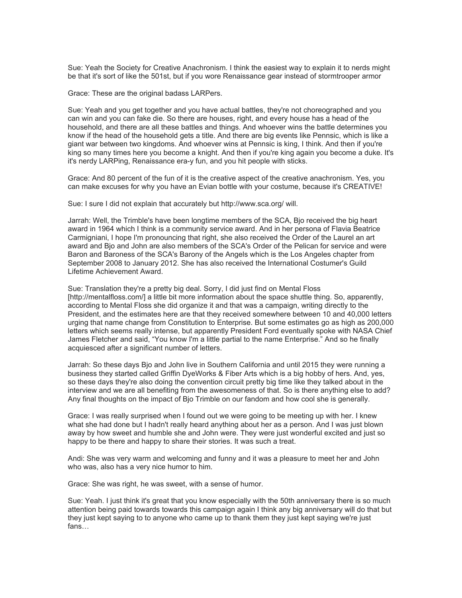Sue: Yeah the Society for Creative Anachronism. I think the easiest way to explain it to nerds might be that it's sort of like the 501st, but if you wore Renaissance gear instead of stormtrooper armor

Grace: These are the original badass LARPers.

Sue: Yeah and you get together and you have actual battles, they're not choreographed and you can win and you can fake die. So there are houses, right, and every house has a head of the household, and there are all these battles and things. And whoever wins the battle determines you know if the head of the household gets a title. And there are big events like Pennsic, which is like a giant war between two kingdoms. And whoever wins at Pennsic is king, I think. And then if you're king so many times here you become a knight. And then if you're king again you become a duke. It's it's nerdy LARPing, Renaissance era-y fun, and you hit people with sticks.

Grace: And 80 percent of the fun of it is the creative aspect of the creative anachronism. Yes, you can make excuses for why you have an Evian bottle with your costume, because it's CREATIVE!

Sue: I sure I did not explain that accurately but http://www.sca.org/ will.

Jarrah: Well, the Trimble's have been longtime members of the SCA, Bjo received the big heart award in 1964 which I think is a community service award. And in her persona of Flavia Beatrice Carmigniani, I hope I'm pronouncing that right, she also received the Order of the Laurel an art award and Bjo and John are also members of the SCA's Order of the Pelican for service and were Baron and Baroness of the SCA's Barony of the Angels which is the Los Angeles chapter from September 2008 to January 2012. She has also received the International Costumer's Guild Lifetime Achievement Award.

Sue: Translation they're a pretty big deal. Sorry, I did just find on Mental Floss [http://mentalfloss.com/] a little bit more information about the space shuttle thing. So, apparently, according to Mental Floss she did organize it and that was a campaign, writing directly to the President, and the estimates here are that they received somewhere between 10 and 40,000 letters urging that name change from Constitution to Enterprise. But some estimates go as high as 200,000 letters which seems really intense, but apparently President Ford eventually spoke with NASA Chief James Fletcher and said, "You know I'm a little partial to the name Enterprise." And so he finally acquiesced after a significant number of letters.

Jarrah: So these days Bjo and John live in Southern California and until 2015 they were running a business they started called Griffin DyeWorks & Fiber Arts which is a big hobby of hers. And, yes, so these days they're also doing the convention circuit pretty big time like they talked about in the interview and we are all benefiting from the awesomeness of that. So is there anything else to add? Any final thoughts on the impact of Bjo Trimble on our fandom and how cool she is generally.

Grace: I was really surprised when I found out we were going to be meeting up with her. I knew what she had done but I hadn't really heard anything about her as a person. And I was just blown away by how sweet and humble she and John were. They were just wonderful excited and just so happy to be there and happy to share their stories. It was such a treat.

Andi: She was very warm and welcoming and funny and it was a pleasure to meet her and John who was, also has a very nice humor to him.

Grace: She was right, he was sweet, with a sense of humor.

Sue: Yeah. I just think it's great that you know especially with the 50th anniversary there is so much attention being paid towards towards this campaign again I think any big anniversary will do that but they just kept saying to to anyone who came up to thank them they just kept saying we're just fans…